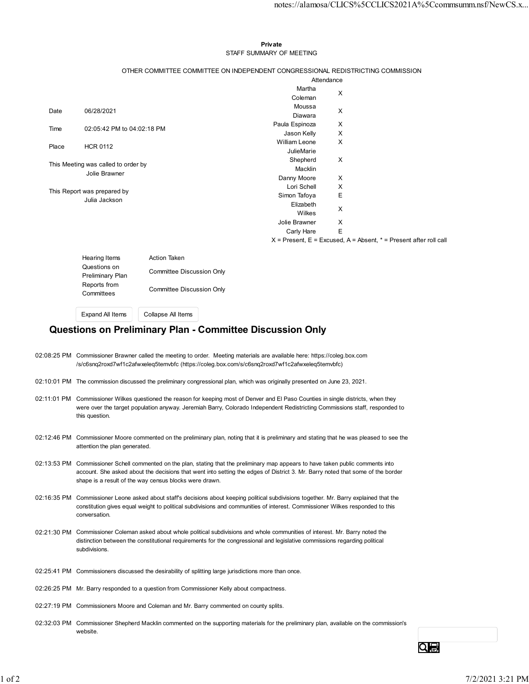## Private **Executive Service Service Service Service Service Service Service Service Service Service Service Service Service Service Service Service Service Service Service Service Service Service Service Service Service Ser** STAFF SUMMARY OF MEETING

|       |                                                      |                                                                                 |                              |                  | notes://alamosa/CLICS%5CCLICS2021A%5Ccommsumm.nsf/NewCS.x             |
|-------|------------------------------------------------------|---------------------------------------------------------------------------------|------------------------------|------------------|-----------------------------------------------------------------------|
|       |                                                      |                                                                                 |                              |                  |                                                                       |
|       |                                                      |                                                                                 |                              |                  |                                                                       |
|       |                                                      |                                                                                 | Private                      |                  |                                                                       |
|       |                                                      |                                                                                 | STAFF SUMMARY OF MEETING     |                  |                                                                       |
|       |                                                      |                                                                                 |                              |                  |                                                                       |
|       |                                                      | OTHER COMMITTEE COMMITTEE ON INDEPENDENT CONGRESSIONAL REDISTRICTING COMMISSION |                              |                  |                                                                       |
|       |                                                      |                                                                                 |                              | Attendance       |                                                                       |
|       |                                                      |                                                                                 | Martha<br>Coleman            | X                |                                                                       |
|       |                                                      |                                                                                 | Moussa                       |                  |                                                                       |
| Date  | 06/28/2021                                           |                                                                                 | Diawara                      | X                |                                                                       |
| Time  | 02:05:42 PM to 04:02:18 PM                           |                                                                                 | Paula Espinoza               | X                |                                                                       |
|       |                                                      |                                                                                 | Jason Kelly<br>William Leone | X<br>X           |                                                                       |
| Place | <b>HCR 0112</b>                                      |                                                                                 | JulieMarie                   |                  |                                                                       |
|       |                                                      |                                                                                 | Shepherd                     | X                |                                                                       |
|       | This Meeting was called to order by<br>Jolie Brawner |                                                                                 | Macklin                      |                  |                                                                       |
|       |                                                      |                                                                                 | Danny Moore                  | X                |                                                                       |
|       | This Report was prepared by                          |                                                                                 | Lori Schell<br>Simon Tafoya  | X<br>$\mathsf E$ |                                                                       |
|       | Julia Jackson                                        |                                                                                 | Elizabeth                    |                  |                                                                       |
|       |                                                      |                                                                                 | Wilkes                       | X                |                                                                       |
|       |                                                      |                                                                                 | Jolie Brawner                | X                |                                                                       |
|       |                                                      |                                                                                 | Carly Hare                   | Ε                |                                                                       |
|       |                                                      |                                                                                 |                              |                  | $X$ = Present, E = Excused, A = Absent, $*$ = Present after roll call |
|       | Hearing Items                                        | Action Taken                                                                    |                              |                  |                                                                       |
|       | Questions on                                         | Committee Discussion Only                                                       |                              |                  |                                                                       |
|       | Preliminary Plan                                     |                                                                                 |                              |                  |                                                                       |
|       | Reports from<br>Committees                           | <b>Committee Discussion Only</b>                                                |                              |                  |                                                                       |
|       |                                                      |                                                                                 |                              |                  |                                                                       |
|       |                                                      |                                                                                 |                              |                  |                                                                       |

| Hearing Items<br>Questions on<br><b>Preliminary Plan</b><br>Reports from<br>Committees | <b>Action Taken</b><br>Committee Discussion Only<br>Committee Discussion Only |  |
|----------------------------------------------------------------------------------------|-------------------------------------------------------------------------------|--|
| <b>Expand All Items</b>                                                                | Collapse All Items                                                            |  |

## Questions on Preliminary Plan - Committee Discussion Only

- 02:08:25 PM Commissioner Brawner called the meeting to order. Meeting materials are available here: https://coleg.box.com /s/c6snq2roxd7wf1c2afwxeleq5temvbfc (https://coleg.box.com/s/c6snq2roxd7wf1c2afwxeleq5temvbfc)
- 02:10:01 PM The commission discussed the preliminary congressional plan, which was originally presented on June 23, 2021.
- 02:11:01 PM Commissioner Wilkes questioned the reason for keeping most of Denver and El Paso Counties in single districts, when they were over the target population anyway. Jeremiah Barry, Colorado Independent Redistricting Commissions staff, responded to this question.
- 02:12:46 PM Commissioner Moore commented on the preliminary plan, noting that it is preliminary and stating that he was pleased to see the attention the plan generated.
- 02:13:53 PM Commissioner Schell commented on the plan, stating that the preliminary map appears to have taken public comments into account. She asked about the decisions that went into setting the edges of District 3. Mr. Barry noted that some of the border shape is a result of the way census blocks were drawn.
- 02:16:35 PM Commissioner Leone asked about staff's decisions about keeping political subdivisions together. Mr. Barry explained that the constitution gives equal weight to political subdivisions and communities of interest. Commissioner Wilkes responded to this conversation.
- 02:21:30 PM Commissioner Coleman asked about whole political subdivisions and whole communities of interest. Mr. Barry noted the distinction between the constitutional requirements for the congressional and legislative commissions regarding political subdivisions.
- 02:25:41 PM Commissioners discussed the desirability of splitting large jurisdictions more than once.
- 02:26:25 PM Mr. Barry responded to a question from Commissioner Kelly about compactness.
- 02:27:19 PM Commissioners Moore and Coleman and Mr. Barry commented on county splits.
- 02:32:03 PM Commissioner Shepherd Macklin commented on the supporting materials for the preliminary plan, available on the commission's website.